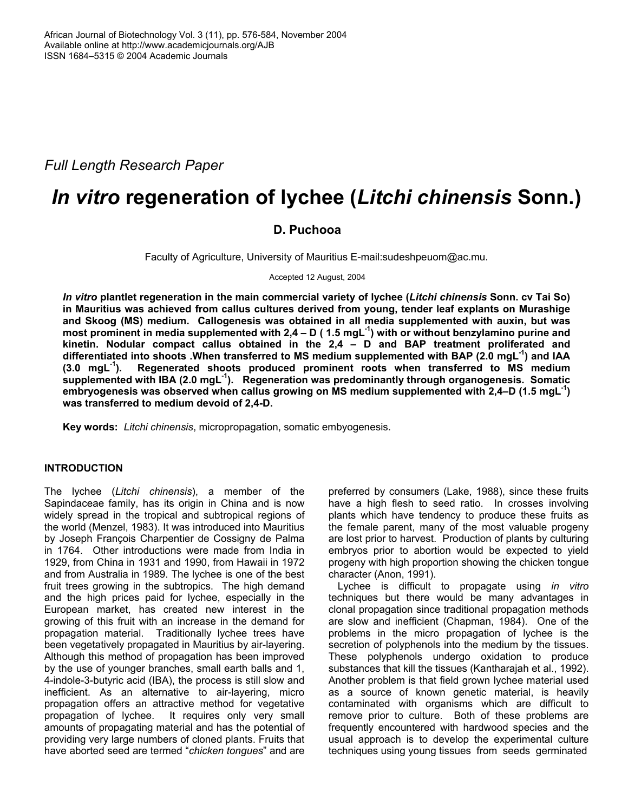*Full Length Research Paper* 

# *In vitro* **regeneration of lychee (***Litchi chinensis* **Sonn.)**

## **D. Puchooa**

Faculty of Agriculture, University of Mauritius E-mail:sudeshpeuom@ac.mu.

Accepted 12 August, 2004

*In vitro* **plantlet regeneration in the main commercial variety of lychee (***Litchi chinensis* **Sonn. cv Tai So) in Mauritius was achieved from callus cultures derived from young, tender leaf explants on Murashige and Skoog (MS) medium. Callogenesis was obtained in all media supplemented with auxin, but was**  most prominent in media supplemented with 2,4 – D (1.5 mgL<sup>-1</sup>) with or without benzylamino purine and **kinetin. Nodular compact callus obtained in the 2,4 – D and BAP treatment proliferated and**  differentiated into shoots .When transferred to MS medium supplemented with BAP (2.0 mgL<sup>-1</sup>) and IAA **(3.0 mgL-1). Regenerated shoots produced prominent roots when transferred to MS medium**  supplemented with IBA (2.0 mgL<sup>-1</sup>). Regeneration was predominantly through organogenesis. Somatic **embryogenesis was observed when callus growing on MS medium supplemented with 2,4–D (1.5 mgL-1) was transferred to medium devoid of 2,4-D.** 

**Key words:** *Litchi chinensis*, micropropagation, somatic embyogenesis.

## **INTRODUCTION**

The lychee (*Litchi chinensis*), a member of the Sapindaceae family, has its origin in China and is now widely spread in the tropical and subtropical regions of the world (Menzel, 1983). It was introduced into Mauritius by Joseph François Charpentier de Cossigny de Palma in 1764. Other introductions were made from India in 1929, from China in 1931 and 1990, from Hawaii in 1972 and from Australia in 1989. The lychee is one of the best fruit trees growing in the subtropics. The high demand and the high prices paid for lychee, especially in the European market, has created new interest in the growing of this fruit with an increase in the demand for propagation material. Traditionally lychee trees have been vegetatively propagated in Mauritius by air-layering. Although this method of propagation has been improved by the use of younger branches, small earth balls and 1, 4-indole-3-butyric acid (IBA), the process is still slow and inefficient. As an alternative to air-layering, micro propagation offers an attractive method for vegetative propagation of lychee. It requires only very small amounts of propagating material and has the potential of providing very large numbers of cloned plants. Fruits that have aborted seed are termed "*chicken tongues*" and are

preferred by consumers (Lake, 1988), since these fruits have a high flesh to seed ratio. In crosses involving plants which have tendency to produce these fruits as the female parent, many of the most valuable progeny are lost prior to harvest. Production of plants by culturing embryos prior to abortion would be expected to yield progeny with high proportion showing the chicken tongue character (Anon, 1991).

Lychee is difficult to propagate using *in vitro* techniques but there would be many advantages in clonal propagation since traditional propagation methods are slow and inefficient (Chapman, 1984). One of the problems in the micro propagation of lychee is the secretion of polyphenols into the medium by the tissues. These polyphenols undergo oxidation to produce substances that kill the tissues (Kantharajah et al., 1992). Another problem is that field grown lychee material used as a source of known genetic material, is heavily contaminated with organisms which are difficult to remove prior to culture. Both of these problems are frequently encountered with hardwood species and the usual approach is to develop the experimental culture techniques using young tissues from seeds germinated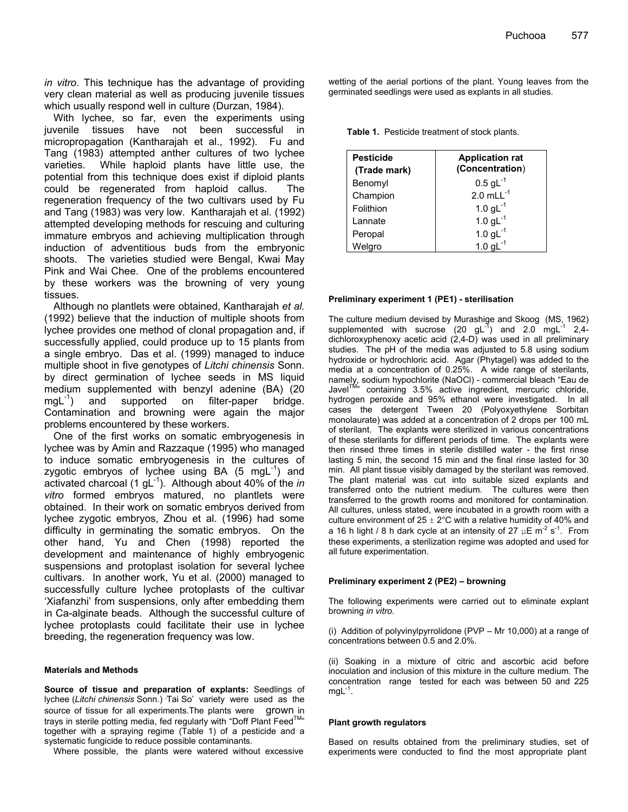*in vitro*. This technique has the advantage of providing very clean material as well as producing juvenile tissues which usually respond well in culture (Durzan, 1984).

With lychee, so far, even the experiments using juvenile tissues have not been successful in micropropagation (Kantharajah et al., 1992). Fu and Tang (1983) attempted anther cultures of two lychee varieties. While haploid plants have little use, the potential from this technique does exist if diploid plants could be regenerated from haploid callus. The regeneration frequency of the two cultivars used by Fu and Tang (1983) was very low. Kantharajah et al. (1992) attempted developing methods for rescuing and culturing immature embryos and achieving multiplication through induction of adventitious buds from the embryonic shoots. The varieties studied were Bengal, Kwai May Pink and Wai Chee. One of the problems encountered by these workers was the browning of very young tissues.

Although no plantlets were obtained, Kantharajah *et al.* (1992) believe that the induction of multiple shoots from lychee provides one method of clonal propagation and, if successfully applied, could produce up to 15 plants from a single embryo. Das et al. (1999) managed to induce multiple shoot in five genotypes of *Litchi chinensis* Sonn. by direct germination of lychee seeds in MS liquid medium supplemented with benzyl adenine (BA) (20 mgL<sup>-1</sup>) and supported on filter-paper bridge. Contamination and browning were again the major problems encountered by these workers.

One of the first works on somatic embryogenesis in lychee was by Amin and Razzaque (1995) who managed to induce somatic embryogenesis in the cultures of zygotic embryos of lychee using BA  $(5 \text{ mgl}^{-1})$  and activated charcoal (1 gL<sup>-1</sup>). Although about 40% of the *in vitro* formed embryos matured, no plantlets were obtained. In their work on somatic embryos derived from lychee zygotic embryos, Zhou et al. (1996) had some difficulty in germinating the somatic embryos. On the other hand, Yu and Chen (1998) reported the development and maintenance of highly embryogenic suspensions and protoplast isolation for several lychee cultivars. In another work, Yu et al. (2000) managed to successfully culture lychee protoplasts of the cultivar 'Xiafanzhi' from suspensions, only after embedding them in Ca-alginate beads. Although the successful culture of lychee protoplasts could facilitate their use in lychee breeding, the regeneration frequency was low.

#### **Materials and Methods**

**Source of tissue and preparation of explants:** Seedlings of lychee (Litchi chinensis Sonn.) Tai So' variety were used as the source of tissue for all experiments. The plants were grown in trays in sterile potting media, fed regularly with "Doff Plant Feed<sup>TM</sup>" together with a spraying regime (Table 1) of a pesticide and a systematic fungicide to reduce possible contaminants.

Where possible, the plants were watered without excessive

wetting of the aerial portions of the plant. Young leaves from the germinated seedlings were used as explants in all studies.

**Table 1.** Pesticide treatment of stock plants.

| <b>Pesticide</b><br>(Trade mark) | <b>Application rat</b><br>(Concentration) |
|----------------------------------|-------------------------------------------|
| Benomyl                          | $0.5$ gL <sup>-1</sup>                    |
| Champion                         | $2.0$ mLL $^{-1}$                         |
| Folithion                        | 1.0 $gL^{-1}$                             |
| Lannate                          | 1.0 $gL^{-1}$                             |
| Peropal                          | 1.0 $gL^{-1}$                             |
| Welgro                           | 1.0 <sub>q</sub>                          |

#### **Preliminary experiment 1 (PE1) - sterilisation**

The culture medium devised by Murashige and Skoog (MS, 1962) supplemented with sucrose (20 gL $^{-1}$ ) and 2.0 mgL $^{-1}$  2,4dichloroxyphenoxy acetic acid (2,4-D) was used in all preliminary studies. The pH of the media was adjusted to 5.8 using sodium hydroxide or hydrochloric acid. Agar (Phytagel) was added to the media at a concentration of 0.25%. A wide range of sterilants, namely, sodium hypochlorite (NaOCl) - commercial bleach "Eau de Javel<sup>IM</sup>" containing 3.5% active ingredient, mercuric chloride, hydrogen peroxide and 95% ethanol were investigated. In all cases the detergent Tween 20 (Polyoxyethylene Sorbitan monolaurate) was added at a concentration of 2 drops per 100 mL of sterilant. The explants were sterilized in various concentrations of these sterilants for different periods of time. The explants were then rinsed three times in sterile distilled water - the first rinse lasting 5 min, the second 15 min and the final rinse lasted for 30 min. All plant tissue visibly damaged by the sterilant was removed. The plant material was cut into suitable sized explants and transferred onto the nutrient medium. The cultures were then transferred to the growth rooms and monitored for contamination. All cultures, unless stated, were incubated in a growth room with a culture environment of  $25 \pm 2^{\circ}$ C with a relative humidity of 40% and a 16 h light / 8 h dark cycle at an intensity of 27  $\mu$ E m<sup>-2</sup> s<sup>-1</sup>. From these experiments, a sterilization regime was adopted and used for all future experimentation.

#### **Preliminary experiment 2 (PE2) – browning**

The following experiments were carried out to eliminate explant browning *in vitro.* 

(i) Addition of polyvinylpyrrolidone (PVP – Mr 10,000) at a range of concentrations between 0.5 and 2.0%.

(ii) Soaking in a mixture of citric and ascorbic acid before inoculation and inclusion of this mixture in the culture medium. The concentration range tested for each was between 50 and 225  $mgL^{-1}$ .

#### **Plant growth regulators**

Based on results obtained from the preliminary studies, set of experiments were conducted to find the most appropriate plant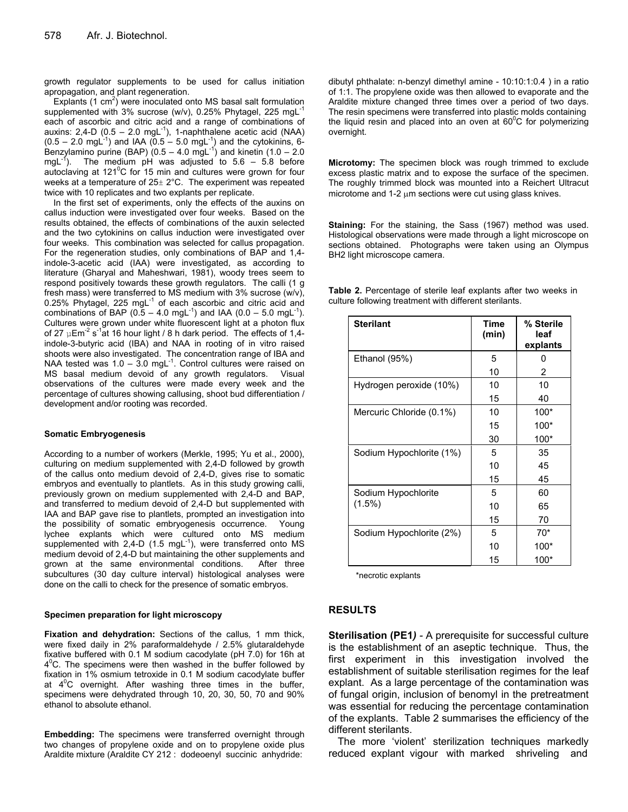growth regulator supplements to be used for callus initiation apropagation, and plant regeneration.

Explants  $(1 \text{ cm}^2)$  were inoculated onto MS basal salt formulation supplemented with 3% sucrose (w/v), 0.25% Phytagel, 225 mgL<sup>-1</sup> each of ascorbic and citric acid and a range of combinations of auxins: 2,4-D  $(0.5 - 2.0 \text{ mgL}^{-1})$ , 1-naphthalene acetic acid (NAA)  $(0.5 - 2.0 \text{ mgl}^{-1})$  and IAA  $(0.5 - 5.0 \text{ mgl}^{-1})$  and the cytokinins, 6-Benzylamino purine (BAP)  $(0.5 - 4.0 \text{ mgL}^{-1})$  and kinetin  $(1.0 - 2.0 \text{ mgL}^{-1})$ mgL $^{-1}$ ). The medium pH was adjusted to 5.6 – 5.8 before autoclaving at 121 $\mathrm{^0C}$  for 15 min and cultures were grown for four weeks at a temperature of  $25 \pm 2^{\circ}$ C. The experiment was repeated twice with 10 replicates and two explants per replicate.

In the first set of experiments, only the effects of the auxins on callus induction were investigated over four weeks. Based on the results obtained, the effects of combinations of the auxin selected and the two cytokinins on callus induction were investigated over four weeks. This combination was selected for callus propagation. For the regeneration studies, only combinations of BAP and 1,4 indole-3-acetic acid (IAA) were investigated, as according to literature (Gharyal and Maheshwari, 1981), woody trees seem to respond positively towards these growth regulators. The calli (1 g fresh mass) were transferred to MS medium with 3% sucrose (w/v), 0.25% Phytagel, 225 mgL $^{-1}$  of each ascorbic and citric acid and combinations of BAP ( $0.5 - 4.0$  mgL<sup>-1</sup>) and IAA ( $0.0 - 5.0$  mgL<sup>-1</sup>). Cultures were grown under white fluorescent light at a photon flux of 27  $\mu$ Em<sup>-2</sup> s<sup>-1</sup>at 16 hour light / 8 h dark period. The effects of 1,4indole-3-butyric acid (IBA) and NAA in rooting of in vitro raised shoots were also investigated. The concentration range of IBA and NAA tested was  $1.0 - 3.0$  mgL<sup>-1</sup>. Control cultures were raised on MS basal medium devoid of any growth regulators. Visual observations of the cultures were made every week and the percentage of cultures showing callusing, shoot bud differentiation / development and/or rooting was recorded.

#### **Somatic Embryogenesis**

According to a number of workers (Merkle, 1995; Yu et al., 2000), culturing on medium supplemented with 2,4-D followed by growth of the callus onto medium devoid of 2,4-D, gives rise to somatic embryos and eventually to plantlets. As in this study growing calli, previously grown on medium supplemented with 2,4-D and BAP, and transferred to medium devoid of 2,4-D but supplemented with IAA and BAP gave rise to plantlets, prompted an investigation into the possibility of somatic embryogenesis occurrence. Young lychee explants which were cultured onto MS medium supplemented with 2,4-D (1.5 mgL $^{-1}$ ), were transferred onto MS medium devoid of 2,4-D but maintaining the other supplements and grown at the same environmental conditions. After three subcultures (30 day culture interval) histological analyses were done on the calli to check for the presence of somatic embryos.

#### **Specimen preparation for light microscopy**

**Fixation and dehydration:** Sections of the callus*,* 1 mm thick, were fixed daily in 2% paraformaldehyde / 2.5% glutaraldehyde fixative buffered with 0.1 M sodium cacodylate (pH 7.0) for 16h at  $4^{\circ}$ C. The specimens were then washed in the buffer followed by fixation in 1% osmium tetroxide in 0.1 M sodium cacodylate buffer at  $4^{\circ}$ C overnight. After washing three times in the buffer, specimens were dehydrated through 10, 20, 30, 50, 70 and 90% ethanol to absolute ethanol.

**Embedding:** The specimens were transferred overnight through two changes of propylene oxide and on to propylene oxide plus Araldite mixture (Araldite CY 212 : dodeoenyl succinic anhydride:

dibutyl phthalate: n-benzyl dimethyl amine - 10:10:1:0.4 ) in a ratio of 1:1. The propylene oxide was then allowed to evaporate and the Araldite mixture changed three times over a period of two days. The resin specimens were transferred into plastic molds containing the liquid resin and placed into an oven at  $60^{\circ}$ C for polymerizing overnight.

**Microtomy:** The specimen block was rough trimmed to exclude excess plastic matrix and to expose the surface of the specimen. The roughly trimmed block was mounted into a Reichert Ultracut microtome and  $1-2 \mu m$  sections were cut using glass knives.

**Staining:** For the staining, the Sass (1967) method was used. Histological observations were made through a light microscope on sections obtained. Photographs were taken using an Olympus BH2 light microscope camera.

| <b>Sterilant</b>         | Time<br>(min) | % Sterile<br>leaf<br>explants |
|--------------------------|---------------|-------------------------------|
| Ethanol (95%)            | 5             | 0                             |
|                          | 10            | 2                             |
| Hydrogen peroxide (10%)  | 10            | 10                            |
|                          | 15            | 40                            |
| Mercuric Chloride (0.1%) | 10            | $100*$                        |
|                          | 15            | 100*                          |
|                          | 30            | $100*$                        |
| Sodium Hypochlorite (1%) | 5             | 35                            |
|                          | 10            | 45                            |
|                          | 15            | 45                            |
| Sodium Hypochlorite      | 5             | 60                            |
| $(1.5\%)$                | 10            | 65                            |
|                          | 15            | 70                            |
| Sodium Hypochlorite (2%) | 5             | $70*$                         |
|                          | 10            | 100*                          |
|                          | 15            | 100*                          |

**Table 2.** Percentage of sterile leaf explants after two weeks in culture following treatment with different sterilants.

\*necrotic explants

## **RESULTS**

**Sterilisation (PE1***) -* A prerequisite for successful culture is the establishment of an aseptic technique. Thus, the first experiment in this investigation involved the establishment of suitable sterilisation regimes for the leaf explant. As a large percentage of the contamination was of fungal origin, inclusion of benomyl in the pretreatment was essential for reducing the percentage contamination of the explants. Table 2 summarises the efficiency of the different sterilants.

The more 'violent' sterilization techniques markedly reduced explant vigour with marked shriveling and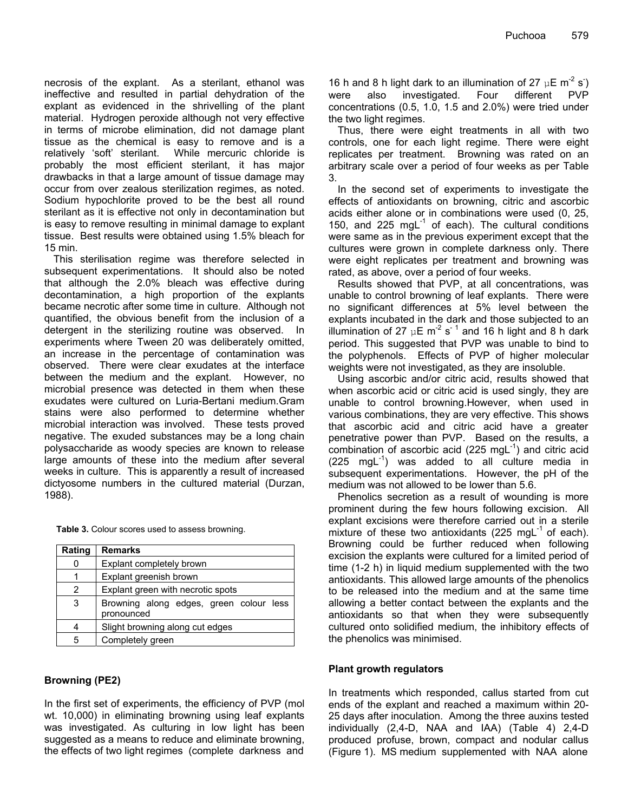necrosis of the explant. As a sterilant, ethanol was ineffective and resulted in partial dehydration of the explant as evidenced in the shrivelling of the plant material. Hydrogen peroxide although not very effective in terms of microbe elimination, did not damage plant tissue as the chemical is easy to remove and is a relatively 'soft' sterilant. While mercuric chloride is probably the most efficient sterilant, it has major drawbacks in that a large amount of tissue damage may occur from over zealous sterilization regimes, as noted. Sodium hypochlorite proved to be the best all round sterilant as it is effective not only in decontamination but is easy to remove resulting in minimal damage to explant tissue. Best results were obtained using 1.5% bleach for 15 min.

This sterilisation regime was therefore selected in subsequent experimentations. It should also be noted that although the 2.0% bleach was effective during decontamination, a high proportion of the explants became necrotic after some time in culture. Although not quantified, the obvious benefit from the inclusion of a detergent in the sterilizing routine was observed. In experiments where Tween 20 was deliberately omitted, an increase in the percentage of contamination was observed. There were clear exudates at the interface between the medium and the explant. However, no microbial presence was detected in them when these exudates were cultured on Luria-Bertani medium.Gram stains were also performed to determine whether microbial interaction was involved. These tests proved negative. The exuded substances may be a long chain polysaccharide as woody species are known to release large amounts of these into the medium after several weeks in culture. This is apparently a result of increased dictyosome numbers in the cultured material (Durzan, 1988).

|  | <b>Table 3.</b> Colour scores used to assess browning. |
|--|--------------------------------------------------------|
|--|--------------------------------------------------------|

| Rating   | <b>Remarks</b>                                        |  |  |
|----------|-------------------------------------------------------|--|--|
| $\Omega$ | Explant completely brown                              |  |  |
|          | Explant greenish brown                                |  |  |
| 2        | Explant green with necrotic spots                     |  |  |
| 3        | Browning along edges, green colour less<br>pronounced |  |  |
|          | Slight browning along cut edges                       |  |  |
| 5        | Completely green                                      |  |  |

## **Browning (PE2)**

In the first set of experiments, the efficiency of PVP (mol wt. 10,000) in eliminating browning using leaf explants was investigated. As culturing in low light has been suggested as a means to reduce and eliminate browning, the effects of two light regimes (complete darkness and

16 h and 8 h light dark to an illumination of 27  $\mu$ E m<sup>-2</sup> s<sup>-</sup>) were also investigated. Four different PVP concentrations (0.5, 1.0, 1.5 and 2.0%) were tried under the two light regimes.

Thus, there were eight treatments in all with two controls, one for each light regime. There were eight replicates per treatment. Browning was rated on an arbitrary scale over a period of four weeks as per Table 3.

In the second set of experiments to investigate the effects of antioxidants on browning, citric and ascorbic acids either alone or in combinations were used (0, 25, 150, and 225 mg $L^{-1}$  of each). The cultural conditions were same as in the previous experiment except that the cultures were grown in complete darkness only. There were eight replicates per treatment and browning was rated, as above, over a period of four weeks.

Results showed that PVP, at all concentrations, was unable to control browning of leaf explants. There were no significant differences at 5% level between the explants incubated in the dark and those subjected to an illumination of 27  $\mu$ E m<sup>-2</sup> s<sup>-1</sup> and 16 h light and 8 h dark period. This suggested that PVP was unable to bind to the polyphenols. Effects of PVP of higher molecular weights were not investigated, as they are insoluble.

Using ascorbic and/or citric acid, results showed that when ascorbic acid or citric acid is used singly, they are unable to control browning.However, when used in various combinations, they are very effective. This shows that ascorbic acid and citric acid have a greater penetrative power than PVP. Based on the results, a combination of ascorbic acid (225 mgL $^{-1}$ ) and citric acid  $(225 \text{ mgl}^{-1})$  was added to all culture media in subsequent experimentations. However, the pH of the medium was not allowed to be lower than 5.6.

Phenolics secretion as a result of wounding is more prominent during the few hours following excision. All explant excisions were therefore carried out in a sterile mixture of these two antioxidants (225 mgL $^{-1}$  of each). Browning could be further reduced when following excision the explants were cultured for a limited period of time (1-2 h) in liquid medium supplemented with the two antioxidants. This allowed large amounts of the phenolics to be released into the medium and at the same time allowing a better contact between the explants and the antioxidants so that when they were subsequently cultured onto solidified medium, the inhibitory effects of the phenolics was minimised.

## **Plant growth regulators**

In treatments which responded, callus started from cut ends of the explant and reached a maximum within 20- 25 days after inoculation. Among the three auxins tested individually (2,4-D, NAA and IAA) (Table 4) 2,4-D produced profuse, brown, compact and nodular callus (Figure 1). MS medium supplemented with NAA alone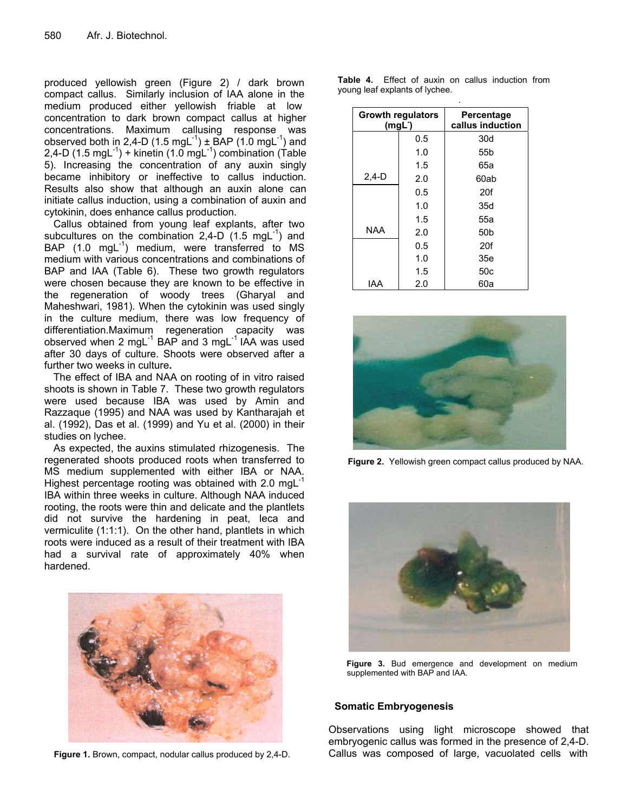produced yellowish green (Figure 2) / dark brown compact callus. Similarly inclusion of IAA alone in the medium produced either yellowish friable at low concentration to dark brown compact callus at higher concentrations. Maximum callusing response was observed both in 2,4-D (1.5 mgL<sup>-1</sup>)  $\pm$  BAP (1.0 mgL<sup>-1</sup>) and 2,4-D (1.5 mg $L^{-1}$ ) + kinetin (1.0 mg $L^{-1}$ ) combination (Table 5). Increasing the concentration of any auxin singly became inhibitory or ineffective to callus induction. Results also show that although an auxin alone can initiate callus induction, using a combination of auxin and cytokinin, does enhance callus production.

Callus obtained from young leaf explants, after two subcultures on the combination 2,4-D  $(1.5 \text{ mgL}^{-1})$  and BAP  $(1.0 \text{ mgl}^{-1})$  medium, were transferred to MS medium with various concentrations and combinations of BAP and IAA (Table 6). These two growth regulators were chosen because they are known to be effective in the regeneration of woody trees (Gharyal and Maheshwari, 1981). When the cytokinin was used singly in the culture medium, there was low frequency of differentiation.Maximum regeneration capacity was observed when 2 mgL $^{-1}$  BAP and 3 mgL $^{-1}$  IAA was used after 30 days of culture. Shoots were observed after a further two weeks in culture**.** 

The effect of IBA and NAA on rooting of in vitro raised shoots is shown in Table 7. These two growth regulators were used because IBA was used by Amin and Razzaque (1995) and NAA was used by Kantharajah et al. (1992), Das et al. (1999) and Yu et al. (2000) in their studies on lychee.

As expected, the auxins stimulated rhizogenesis. The regenerated shoots produced roots when transferred to MS medium supplemented with either IBA or NAA. Highest percentage rooting was obtained with 2.0 mg $L^{-1}$ IBA within three weeks in culture. Although NAA induced rooting, the roots were thin and delicate and the plantlets did not survive the hardening in peat, leca and vermiculite (1:1:1). On the other hand, plantlets in which roots were induced as a result of their treatment with IBA had a survival rate of approximately 40% when hardened.



 **Figure 1.** Brown, compact, nodular callus produced by 2,4-D.

| <b>Growth regulators</b><br>(mgl.) |     | Percentage<br>callus induction |
|------------------------------------|-----|--------------------------------|
|                                    | 0.5 | 30d                            |
|                                    | 1.0 | 55b                            |
|                                    | 1.5 | 65a                            |
| $2,4-D$                            | 2.0 | 60ab                           |
|                                    | 0.5 | 20f                            |
|                                    | 1.0 | 35d                            |
|                                    | 1.5 | 55a                            |

NAA | 2.0 | 50b

IAA 2.0 60a

0.5 20f 1.0 35e  $1.5$   $50c$ 



 **Figure 2.** Yellowish green compact callus produced by NAA.



 **Figure 3.** Bud emergence and development on medium supplemented with BAP and IAA.

## **Somatic Embryogenesis**

Observations using light microscope showed that embryogenic callus was formed in the presence of 2,4-D. Callus was composed of large, vacuolated cells with

|  |                                |  |  | <b>Table 4.</b> Effect of auxin on callus induction from |  |
|--|--------------------------------|--|--|----------------------------------------------------------|--|
|  | young leaf explants of lychee. |  |  |                                                          |  |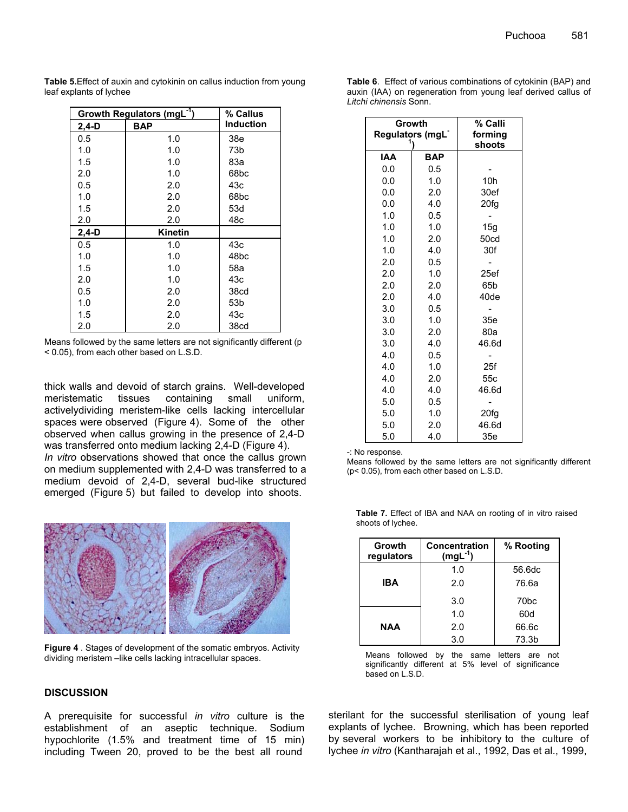| Growth Regulators (mgL <sup>-1</sup> ) | % Callus       |                  |
|----------------------------------------|----------------|------------------|
| 2,4-D                                  | <b>BAP</b>     | <b>Induction</b> |
| 0.5                                    | 1.0            | 38e              |
| 1.0                                    | 1.0            | 73b              |
| 1.5                                    | 1.0            | 83а              |
| 2.0                                    | 1.0            | 68 <sub>bc</sub> |
| 0.5                                    | 2.0            | 43с              |
| 1.0                                    | 2.0            | 68bc             |
| 1.5                                    | 2.0            | 53d              |
| 2.0                                    | 2.0            | 48c              |
| $2,4-D$                                | <b>Kinetin</b> |                  |
| 0.5                                    | 1.0            | 43с              |
| 1.0                                    | 1.0            | 48bc             |
| 1.5                                    | 1.0            | 58a              |
| 2.0                                    | 1.0            | 43с              |
| 0.5                                    | 2.0            | 38cd             |
| 1.0                                    | 2.0            | 53b              |
| 1.5                                    | 2.0            | 43c              |
| 2.0                                    | 2.0            | 38cd             |

**Table 5.**Effect of auxin and cytokinin on callus induction from young leaf explants of lychee

Means followed by the same letters are not significantly different (p < 0.05), from each other based on L.S.D.

thick walls and devoid of starch grains. Well-developed meristematic tissues containing small uniform, activelydividing meristem-like cells lacking intercellular spaces were observed (Figure 4). Some of the other observed when callus growing in the presence of 2,4-D was transferred onto medium lacking 2,4-D (Figure 4).

*In vitro* observations showed that once the callus grown on medium supplemented with 2,4-D was transferred to a medium devoid of 2,4-D, several bud-like structured emerged (Figure 5) but failed to develop into shoots.



**Figure 4** . Stages of development of the somatic embryos. Activity dividing meristem –like cells lacking intracellular spaces.

## **DISCUSSION**

A prerequisite for successful *in vitro* culture is the establishment of an aseptic technique. Sodium hypochlorite (1.5% and treatment time of 15 min) including Tween 20, proved to be the best all round

| Growth<br>Regulators (mgL | % Calli<br>forming<br>shoots |                 |
|---------------------------|------------------------------|-----------------|
| <b>IAA</b>                | <b>BAP</b>                   |                 |
| 0.0                       | 0.5                          |                 |
| 0.0                       | 1.0                          | 10 <sub>h</sub> |
| 0.0                       | 2.0                          | 30ef            |
| 0.0                       | 4.0                          | 20fg            |
| 1.0                       | 0.5                          |                 |
| 1.0                       | 1.0                          | 15g             |
| 1.0                       | 2.0                          | 50cd            |
| 1.0                       | 4.0                          | 30f             |
| 2.0                       | 0.5                          |                 |
| 2.0                       | 1.0                          | 25ef            |
| 2.0                       | 2.0                          | 65b             |
| 2.0                       | 4.0                          | 40de            |
| 3.0                       | 0.5                          |                 |
| 3.0                       | 1.0                          | 35e             |
| 3.0                       | 2.0                          | 80a             |
| 3.0                       | 4.0                          | 46.6d           |
| 4.0                       | 0.5                          |                 |
| 4.0                       | 1.0                          | 25f             |
| 4.0                       | 2.0                          | 55c             |
| 4.0                       | 4.0                          | 46.6d           |
| 5.0                       | 0.5                          |                 |
| 5.0                       | 1.0                          | 20fg            |
| 5.0                       | 2.0                          | 46.6d           |
| 5.0                       | 4.0                          | 35e             |

-: No response.

Means followed by the same letters are not significantly different (p< 0.05), from each other based on L.S.D.

| Growth<br>regulators | Concentration<br>$(mgl-1)$ | % Rooting        |
|----------------------|----------------------------|------------------|
|                      | 1.0                        | 56.6dc           |
| <b>IBA</b>           | 2.0                        | 76.6a            |
|                      | 3.0                        | 70 <sub>bc</sub> |
|                      | 1.0                        | 60d              |
| <b>NAA</b>           | 2.0                        | 66.6c            |
|                      | 3.0                        | 73.3b            |

**Table 7.** Effect of IBA and NAA on rooting of in vitro raised shoots of lychee.

Means followed by the same letters are not significantly different at 5% level of significance based on L.S.D.

sterilant for the successful sterilisation of young leaf explants of lychee. Browning, which has been reported by several workers to be inhibitory to the culture of lychee *in vitro* (Kantharajah et al., 1992, Das et al., 1999,

**Table 6**. Effect of various combinations of cytokinin (BAP) and auxin (IAA) on regeneration from young leaf derived callus of *Litchi chinensis* Sonn.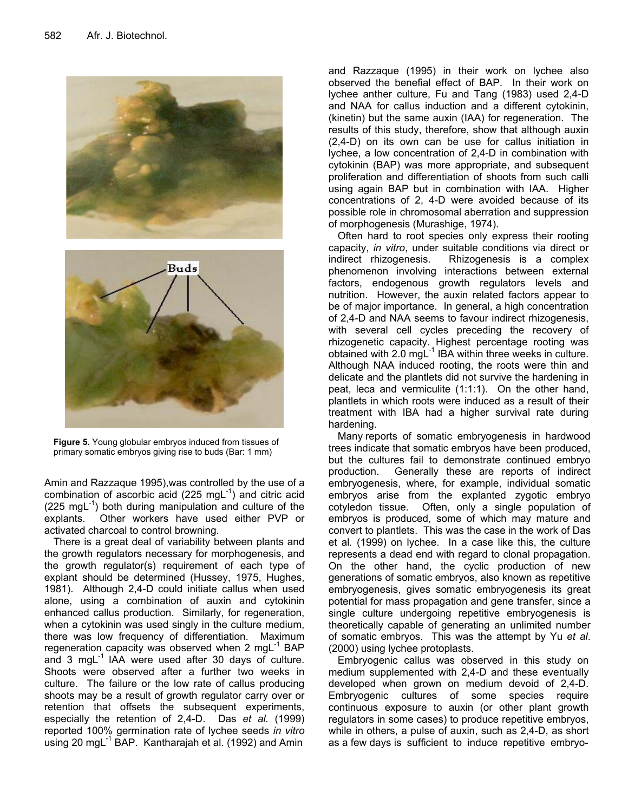



**Figure 5.** Young globular embryos induced from tissues of primary somatic embryos giving rise to buds (Bar: 1 mm)

Amin and Razzaque 1995),was controlled by the use of a combination of ascorbic acid (225 mgL $^{-1}$ ) and citric acid  $(225 \text{ mgl}^{-1})$  both during manipulation and culture of the explants. Other workers have used either PVP or activated charcoal to control browning.

There is a great deal of variability between plants and the growth regulators necessary for morphogenesis, and the growth regulator(s) requirement of each type of explant should be determined (Hussey, 1975, Hughes, 1981). Although 2,4-D could initiate callus when used alone, using a combination of auxin and cytokinin enhanced callus production. Similarly, for regeneration, when a cytokinin was used singly in the culture medium, there was low frequency of differentiation. Maximum regeneration capacity was observed when 2 mg $L^{-1}$  BAP and 3 mg $L^{-1}$  IAA were used after 30 days of culture. Shoots were observed after a further two weeks in culture. The failure or the low rate of callus producing shoots may be a result of growth regulator carry over or retention that offsets the subsequent experiments, especially the retention of 2,4-D. Das *et al.* (1999) reported 100% germination rate of lychee seeds *in vitro* using 20 mgL<sup>-1</sup> BAP. Kantharajah et al. (1992) and Amin

and Razzaque (1995) in their work on lychee also observed the benefial effect of BAP. In their work on lychee anther culture, Fu and Tang (1983) used 2,4-D and NAA for callus induction and a different cytokinin, (kinetin) but the same auxin (IAA) for regeneration. The results of this study, therefore, show that although auxin (2,4-D) on its own can be use for callus initiation in lychee, a low concentration of 2,4-D in combination with cytokinin (BAP) was more appropriate, and subsequent proliferation and differentiation of shoots from such calli using again BAP but in combination with IAA. Higher concentrations of 2, 4-D were avoided because of its possible role in chromosomal aberration and suppression of morphogenesis (Murashige, 1974).

Often hard to root species only express their rooting capacity, *in vitro*, under suitable conditions via direct or indirect rhizogenesis. Rhizogenesis is a complex phenomenon involving interactions between external factors, endogenous growth regulators levels and nutrition. However, the auxin related factors appear to be of major importance. In general, a high concentration of 2,4-D and NAA seems to favour indirect rhizogenesis, with several cell cycles preceding the recovery of rhizogenetic capacity. Highest percentage rooting was obtained with  $2.0 \text{ mgL}^{-1}$  IBA within three weeks in culture. Although NAA induced rooting, the roots were thin and delicate and the plantlets did not survive the hardening in peat, leca and vermiculite (1:1:1). On the other hand, plantlets in which roots were induced as a result of their treatment with IBA had a higher survival rate during hardening.

Many reports of somatic embryogenesis in hardwood trees indicate that somatic embryos have been produced, but the cultures fail to demonstrate continued embryo production. Generally these are reports of indirect embryogenesis, where, for example, individual somatic embryos arise from the explanted zygotic embryo cotyledon tissue. Often, only a single population of embryos is produced, some of which may mature and convert to plantlets. This was the case in the work of Das et al*.* (1999) on lychee. In a case like this, the culture represents a dead end with regard to clonal propagation. On the other hand, the cyclic production of new generations of somatic embryos, also known as repetitive embryogenesis, gives somatic embryogenesis its great potential for mass propagation and gene transfer, since a single culture undergoing repetitive embryogenesis is theoretically capable of generating an unlimited number of somatic embryos. This was the attempt by Yu *et al*. (2000) using lychee protoplasts.

Embryogenic callus was observed in this study on medium supplemented with 2,4-D and these eventually developed when grown on medium devoid of 2,4-D. Embryogenic cultures of some species require continuous exposure to auxin (or other plant growth regulators in some cases) to produce repetitive embryos, while in others, a pulse of auxin, such as 2,4-D, as short as a few days is sufficient to induce repetitive embryo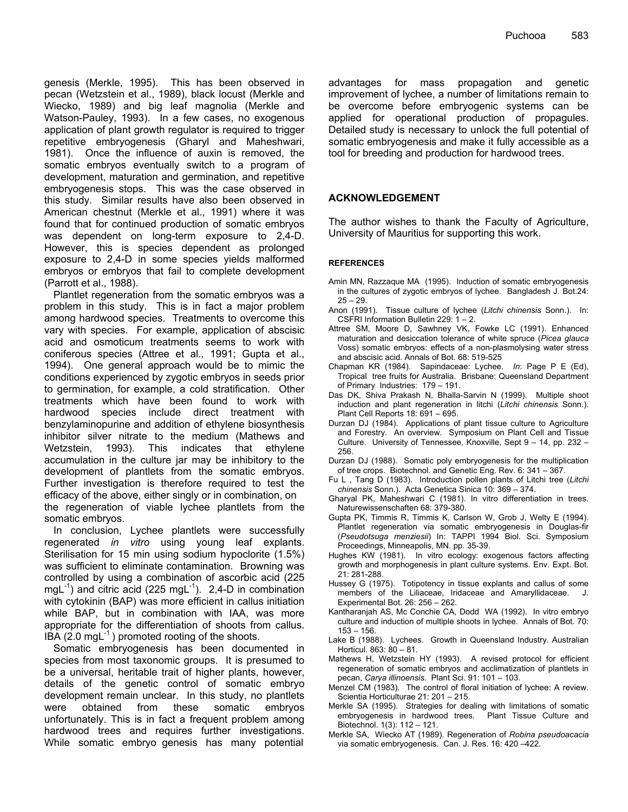genesis (Merkle, 1995). This has been observed in pecan (Wetzstein et al., 1989), black locust (Merkle and Wiecko, 1989) and big leaf magnolia (Merkle and Watson-Pauley, 1993). In a few cases, no exogenous application of plant growth regulator is required to trigger repetitive embryogenesis (Gharyl and Maheshwari, 1981). Once the influence of auxin is removed, the somatic embryos eventually switch to a program of development, maturation and germination, and repetitive embryogenesis stops. This was the case observed in this study. Similar results have also been observed in American chestnut (Merkle et al., 1991) where it was found that for continued production of somatic embryos was dependent on long-term exposure to 2,4-D. However, this is species dependent as prolonged exposure to 2,4-D in some species yields malformed embryos or embryos that fail to complete development (Parrott et al., 1988).

Plantlet regeneration from the somatic embryos was a problem in this study. This is in fact a major problem among hardwood species. Treatments to overcome this vary with species. For example, application of abscisic acid and osmoticum treatments seems to work with coniferous species (Attree et al*.,* 1991; Gupta et al., 1994). One general approach would be to mimic the conditions experienced by zygotic embryos in seeds prior to germination, for example, a cold stratification. Other treatments which have been found to work with hardwood species include direct treatment with benzylaminopurine and addition of ethylene biosynthesis inhibitor silver nitrate to the medium (Mathews and Wetzstein, 1993). This indicates that ethylene accumulation in the culture jar may be inhibitory to the development of plantlets from the somatic embryos. Further investigation is therefore required to test the efficacy of the above, either singly or in combination, on the regeneration of viable lychee plantlets from the somatic embryos.

In conclusion, Lychee plantlets were successfully regenerated *in vitro* using young leaf explants. Sterilisation for 15 min using sodium hypoclorite (1.5%) was sufficient to eliminate contamination. Browning was controlled by using a combination of ascorbic acid (225 mgL<sup>-1</sup>) and citric acid (225 mgL<sup>-1</sup>). 2,4-D in combination with cytokinin (BAP) was more efficient in callus initiation while BAP, but in combination with IAA, was more appropriate for the differentiation of shoots from callus. IBA  $(2.0 \text{ mgL}^{-1})$  promoted rooting of the shoots.

Somatic embryogenesis has been documented in species from most taxonomic groups. It is presumed to be a universal, heritable trait of higher plants, however, details of the genetic control of somatic embryo development remain unclear. In this study, no plantlets were obtained from these somatic embryos unfortunately. This is in fact a frequent problem among hardwood trees and requires further investigations. While somatic embryo genesis has many potential

advantages for mass propagation and genetic improvement of lychee, a number of limitations remain to be overcome before embryogenic systems can be applied for operational production of propagules. Detailed study is necessary to unlock the full potential of somatic embryogenesis and make it fully accessible as a tool for breeding and production for hardwood trees.

## **ACKNOWLEDGEMENT**

The author wishes to thank the Faculty of Agriculture, University of Mauritius for supporting this work.

### **REFERENCES**

- Amin MN, Razzaque MA (1995). Induction of somatic embryogenesis in the cultures of zygotic embryos of lychee. Bangladesh J. Bot.24:  $25 - 29.$
- Anon (1991). Tissue culture of lychee (*Litchi chinensis* Sonn.). In: CSFRI Information Bulletin 229: 1 – 2.
- Attree SM, Moore D, Sawhney VK, Fowke LC (1991). Enhanced maturation and desiccation tolerance of white spruce (*Picea glauca* Voss) somatic embryos: effects of a non-plasmolysing water stress and abscisic acid. Annals of Bot. 68: 519-525
- Chapman KR (1984). Sapindaceae: Lychee. *In*: Page P E (Ed), Tropical tree fruits for Australia. Brisbane: Queensland Department of Primary Industries: 179 – 191.
- Das DK, Shiva Prakash N, Bhalla-Sarvin N (1999). Multiple shoot induction and plant regeneration in litchi (*Litchi chinensis* Sonn.). Plant Cell Reports 18: 691 – 695.
- Durzan DJ (1984). Applications of plant tissue culture to Agriculture and Forestry. An overview. Symposium on Plant Cell and Tissue Culture. University of Tennessee, Knoxville, Sept 9 – 14, pp. 232 – 256.
- Durzan DJ (1988). Somatic poly embryogenesis for the multiplication of tree crops. Biotechnol. and Genetic Eng. Rev. 6: 341 – 367.
- Fu L , Tang D (1983). Introduction pollen plants of Litchi tree (*Litchi chinensis* Sonn.). Acta Genetica Sinica 10: 369 – 374.
- Gharyal PK, Maheshwari C (1981). In vitro differentiation in trees. Naturewissenschaften 68: 379-380.
- Gupta PK, Timmis R, Timmis K, Carlson W, Grob J, Welty E (1994). Plantlet regeneration via somatic embryogenesis in Douglas-fir (*Pseudotsuga menziesii*) In: TAPPI 1994 Biol. Sci. Symposium Proceedings, Minneapolis, MN. pp. 35-39.
- Hughes KW (1981). In vitro ecology: exogenous factors affecting growth and morphogenesis in plant culture systems. Env. Expt. Bot. 21: 281-288.
- Hussey G (1975). Totipotency in tissue explants and callus of some members of the Liliaceae, Iridaceae and Amaryllidaceae. J. Experimental Bot. 26: 256 – 262.
- Kantharanjah AS, Mc Conchie CA, Dodd WA (1992). In vitro embryo culture and induction of multiple shoots in lychee. Annals of Bot. 70:  $153 - 156$
- Lake B (1988). Lychees. Growth in Queensland Industry. Australian Horticul. 863: 80 – 81.
- Mathews H, Wetzstein HY (1993). A revised protocol for efficient regeneration of somatic embryos and acclimatization of plantlets in pecan, *Carya illinoensis*. Plant Sci. 91: 101 – 103.
- Menzel CM (1983). The control of floral initiation of lychee: A review. Scientia Horticulturae 21: 201 – 215.
- Merkle SA (1995). Strategies for dealing with limitations of somatic embryogenesis in hardwood trees. Plant Tissue Culture and Biotechnol. 1(3): 112 – 121.
- Merkle SA, Wiecko AT (1989). Regeneration of *Robina pseudoacacia* via somatic embryogenesis. Can. J. Res. 16: 420 –422.